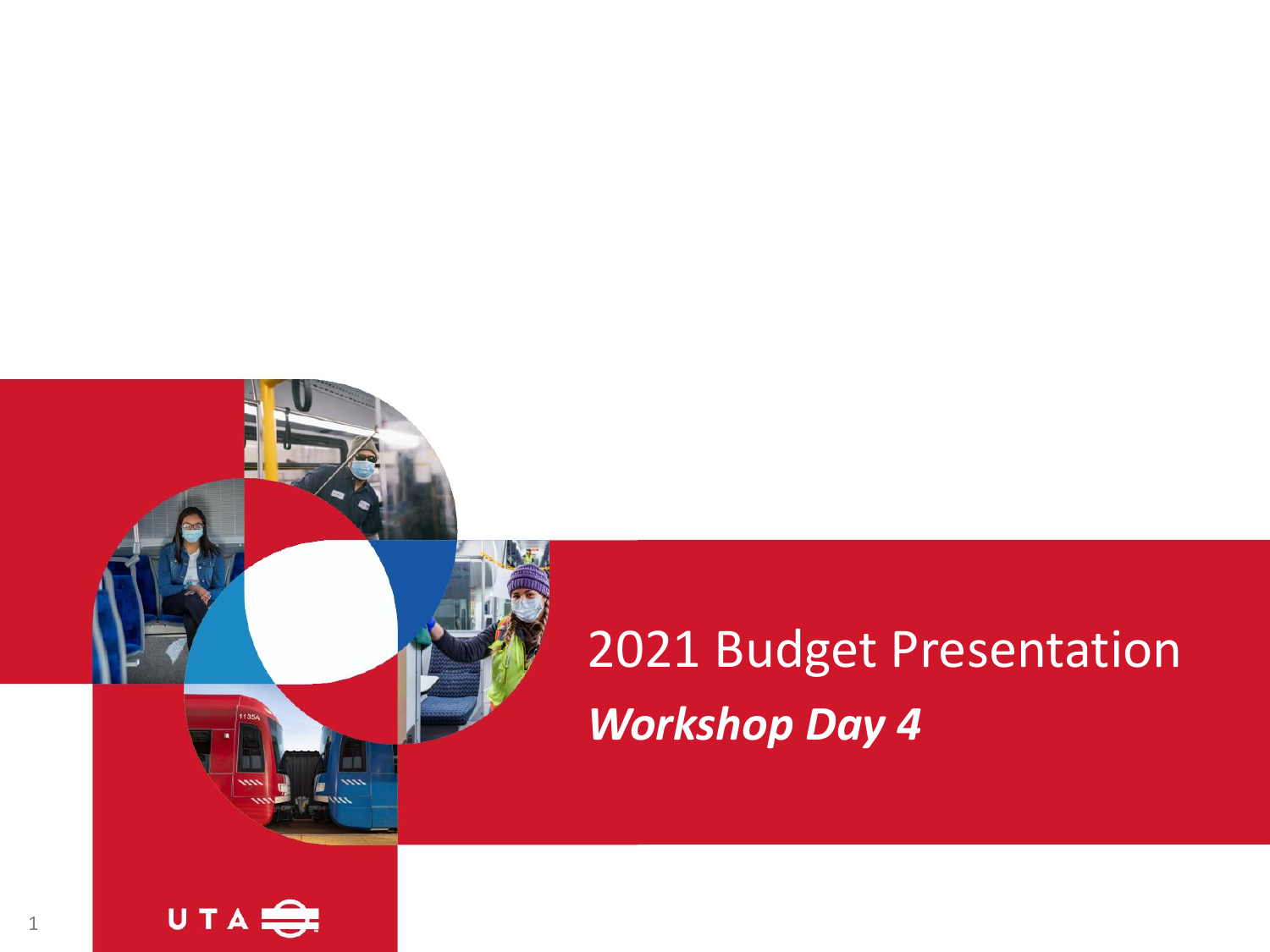## 2021 Budget Presentation *Workshop Day 4*

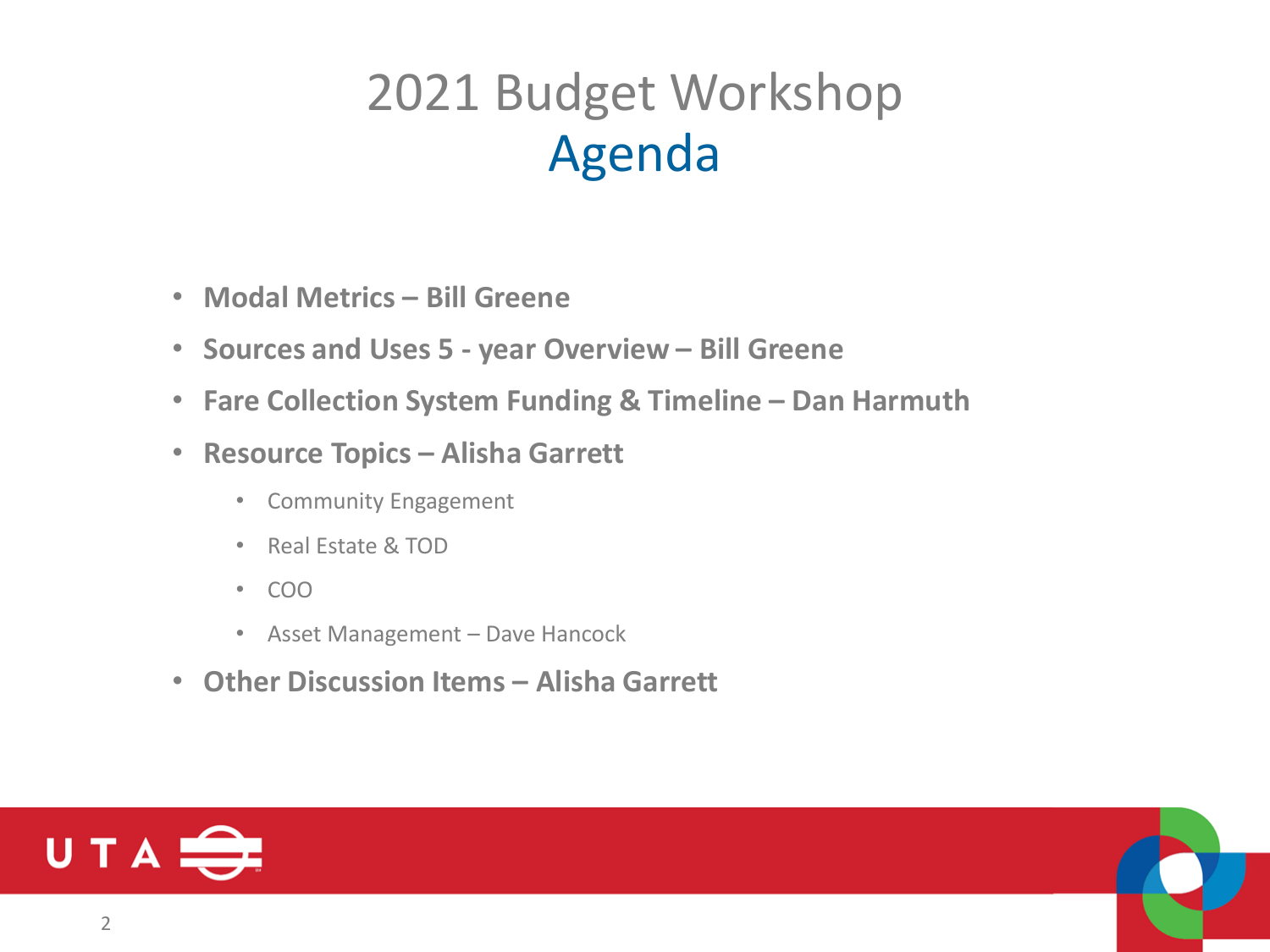## 2021 Budget Workshop Agenda

- **Modal Metrics – Bill Greene**
- **Sources and Uses 5 - year Overview – Bill Greene**
- **Fare Collection System Funding & Timeline – Dan Harmuth**
- **Resource Topics – Alisha Garrett**
	- Community Engagement
	- Real Estate & TOD
	- COO
	- Asset Management Dave Hancock
- **Other Discussion Items – Alisha Garrett**

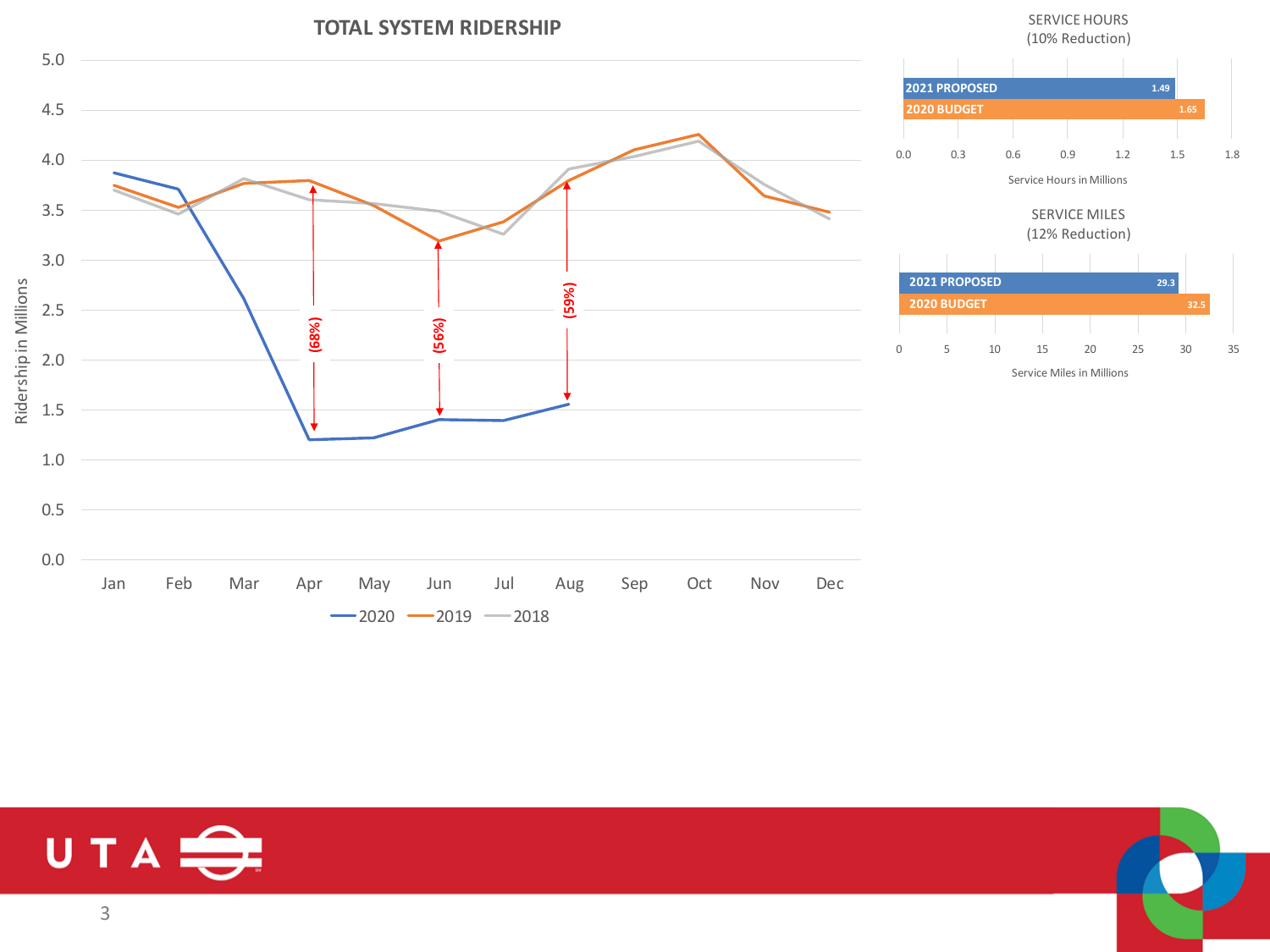

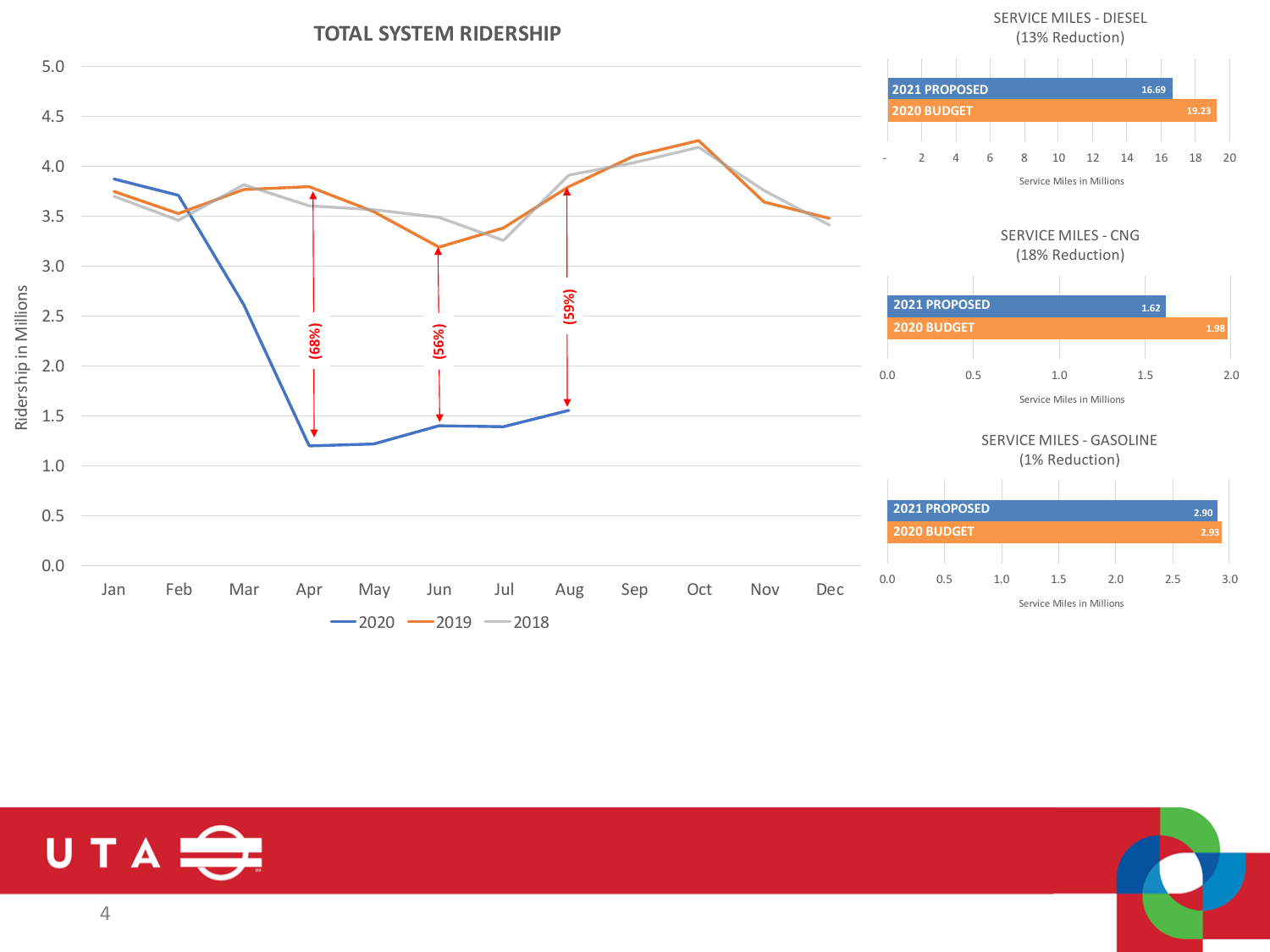

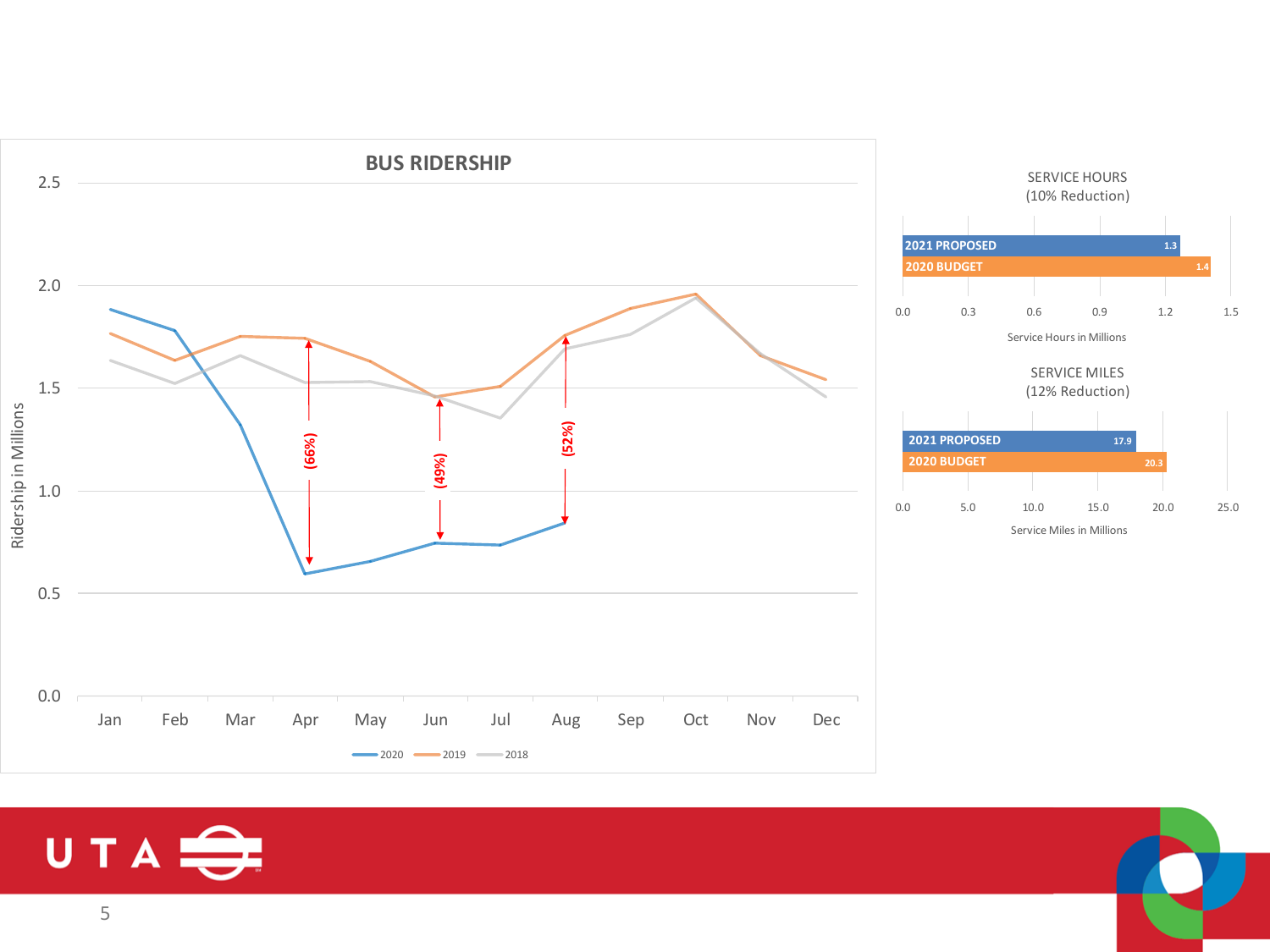

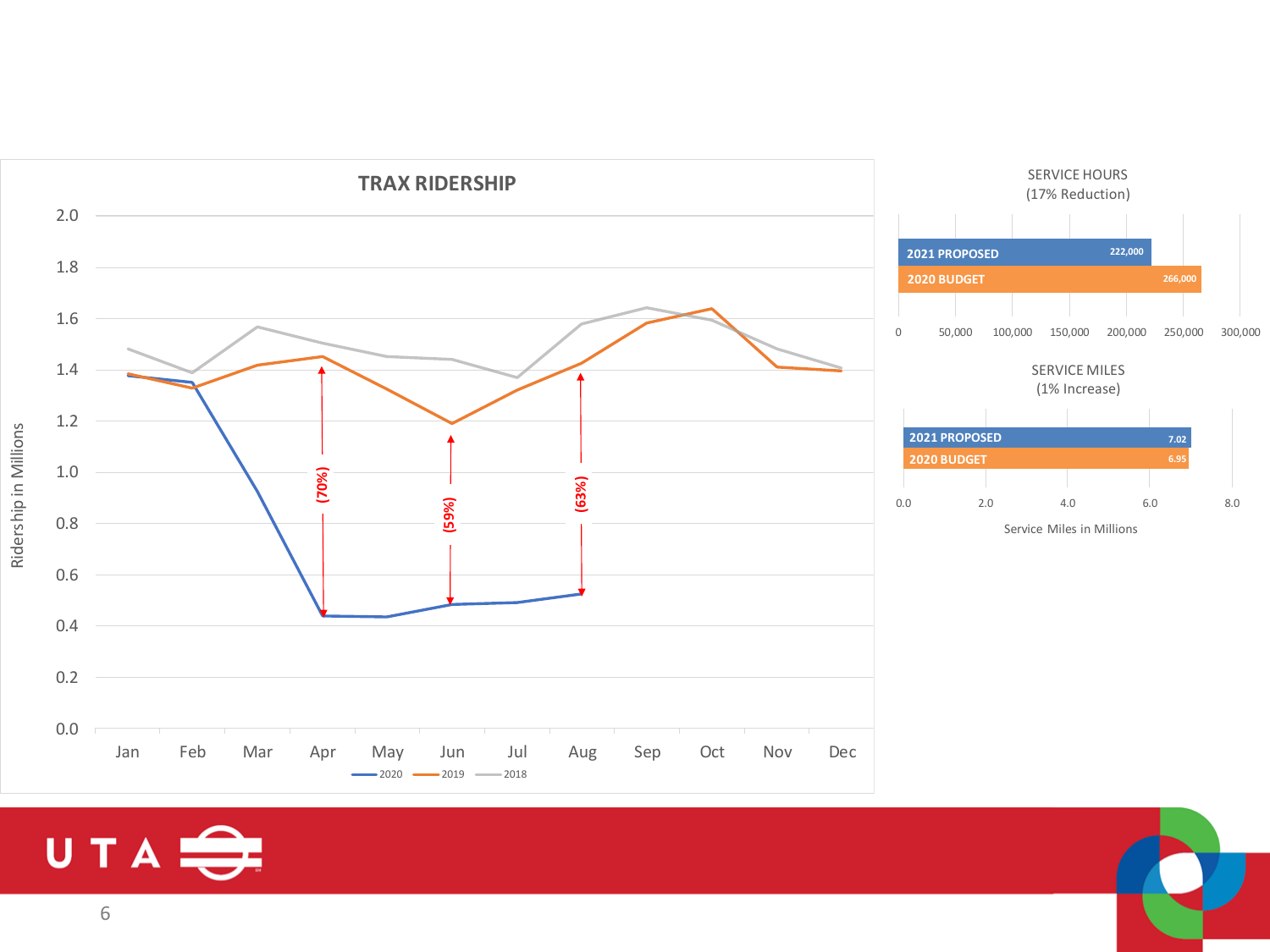

## UTA<sup>S</sup>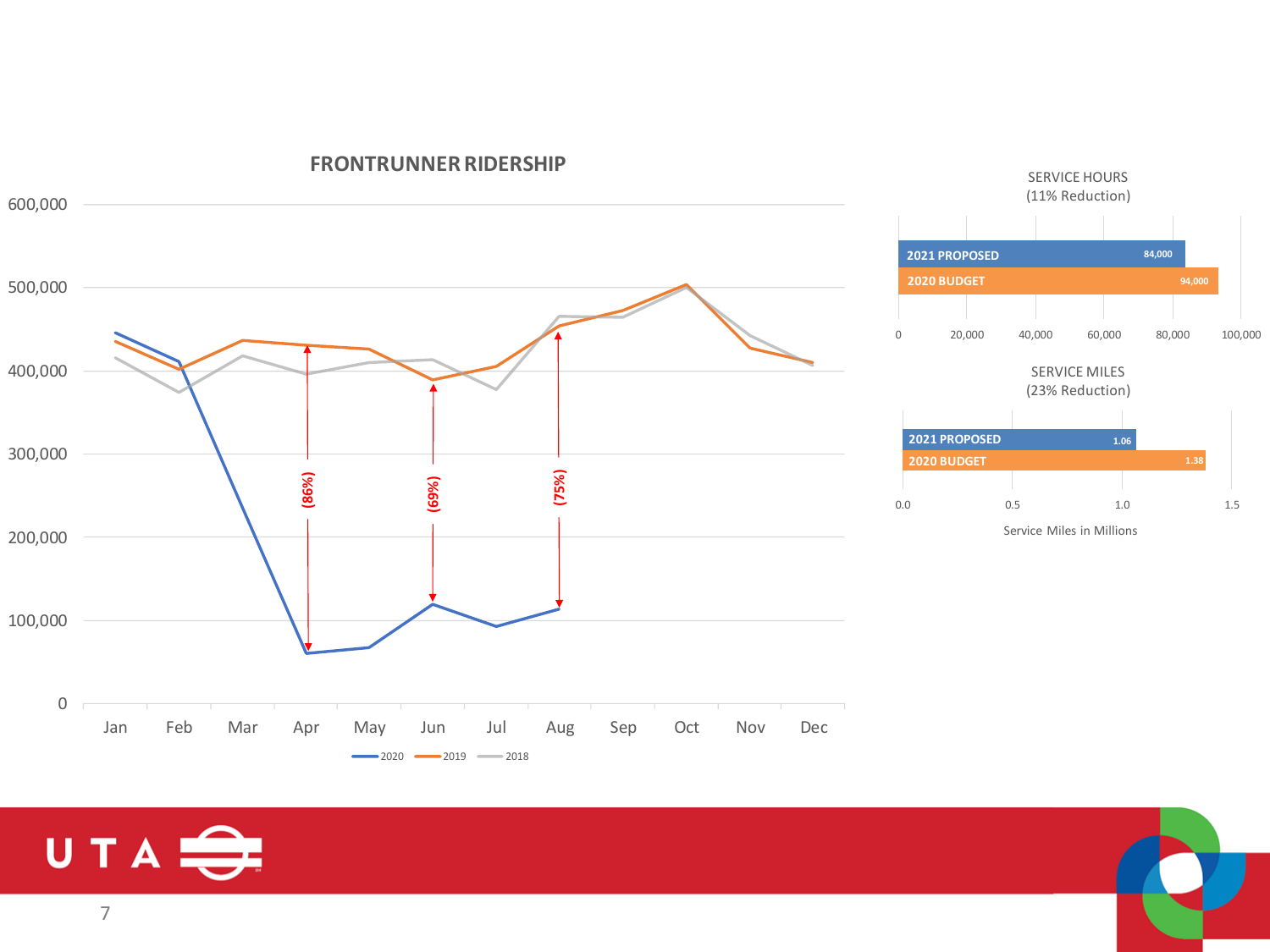

#### **FRONTRUNNER RIDERSHIP**

## UTA<sup>S</sup>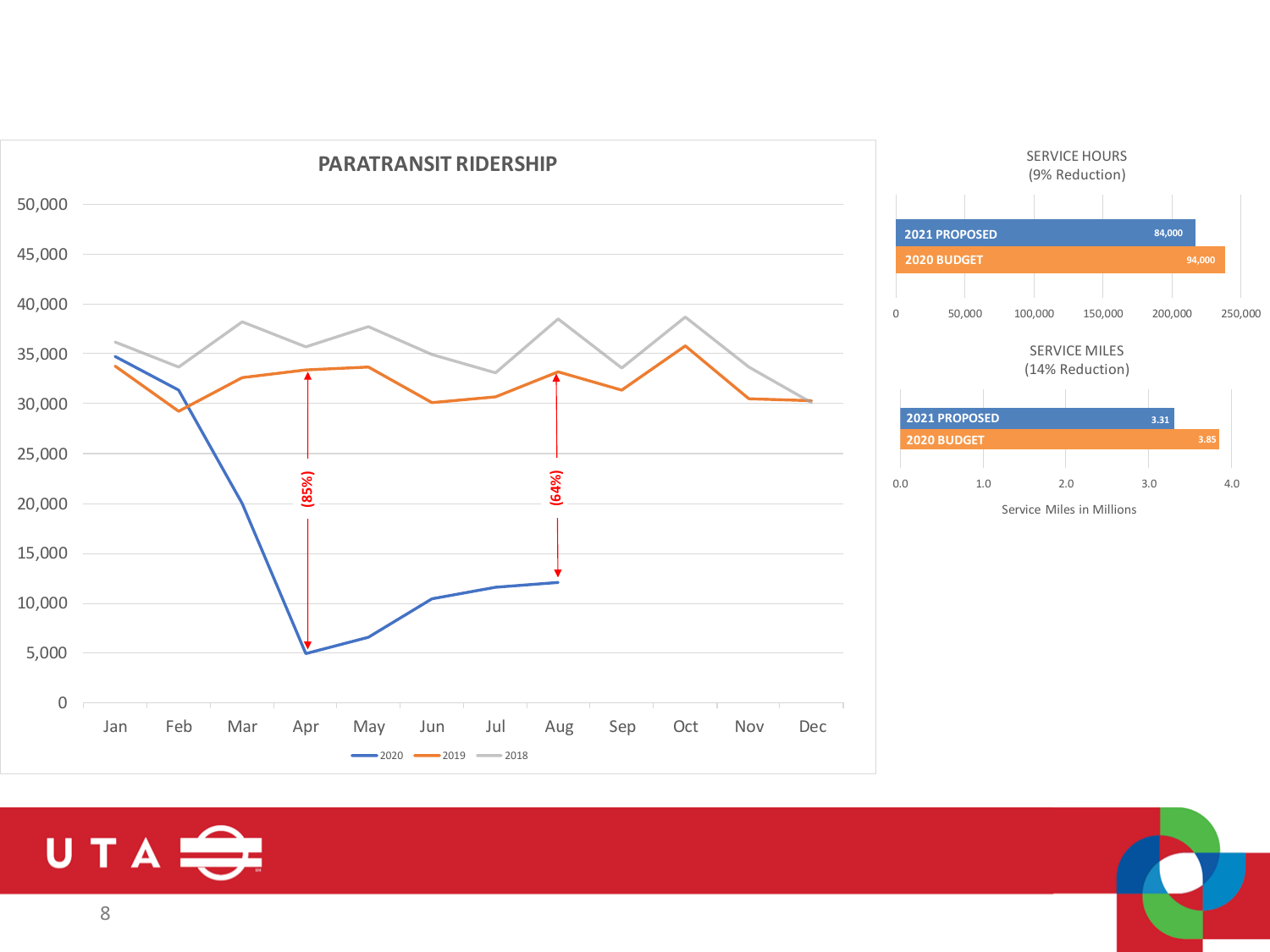![](_page_7_Figure_0.jpeg)

![](_page_7_Picture_1.jpeg)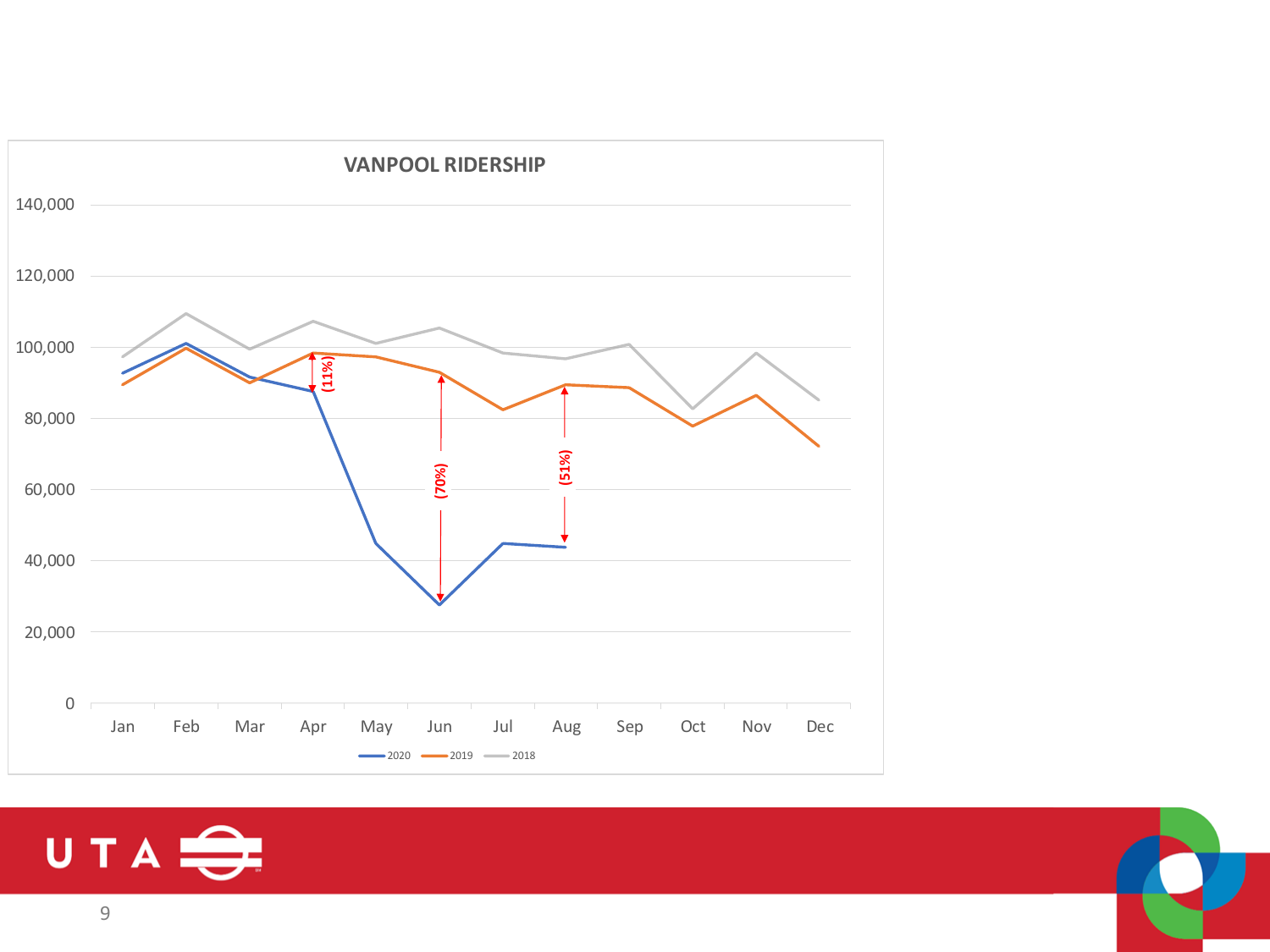![](_page_8_Figure_0.jpeg)

![](_page_8_Picture_1.jpeg)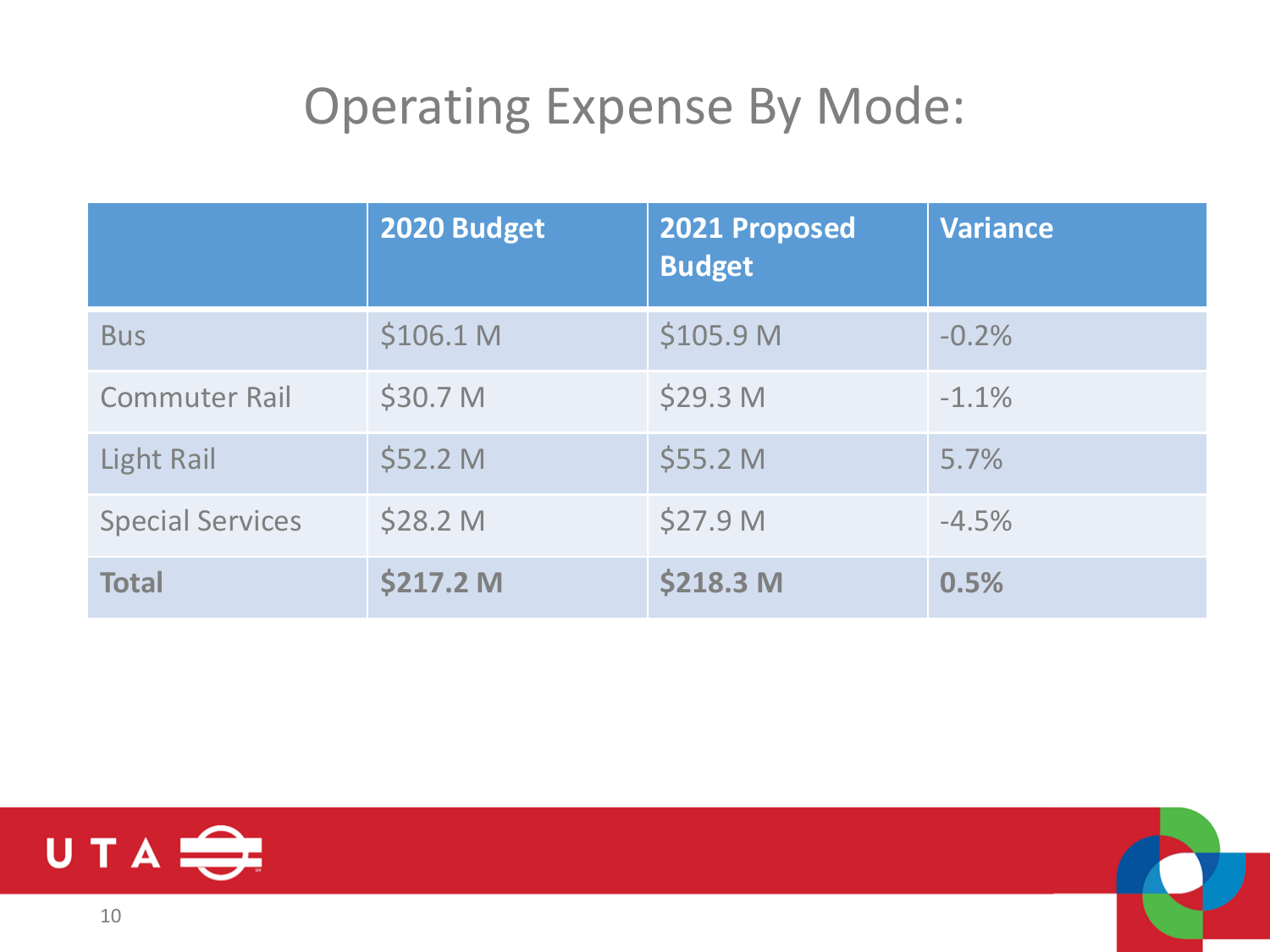#### Operating Expense By Mode:

|                         | 2020 Budget | 2021 Proposed<br><b>Budget</b> | <b>Variance</b> |
|-------------------------|-------------|--------------------------------|-----------------|
| <b>Bus</b>              | \$106.1 M   | \$105.9 M                      | $-0.2%$         |
| <b>Commuter Rail</b>    | \$30.7 M    | \$29.3 <sub>M</sub>            | $-1.1%$         |
| Light Rail              | \$52.2 M    | \$55.2 M                       | 5.7%            |
| <b>Special Services</b> | \$28.2 M    | \$27.9 M                       | $-4.5%$         |
| <b>Total</b>            | \$217.2 M   | \$218.3 M                      | 0.5%            |

![](_page_9_Picture_2.jpeg)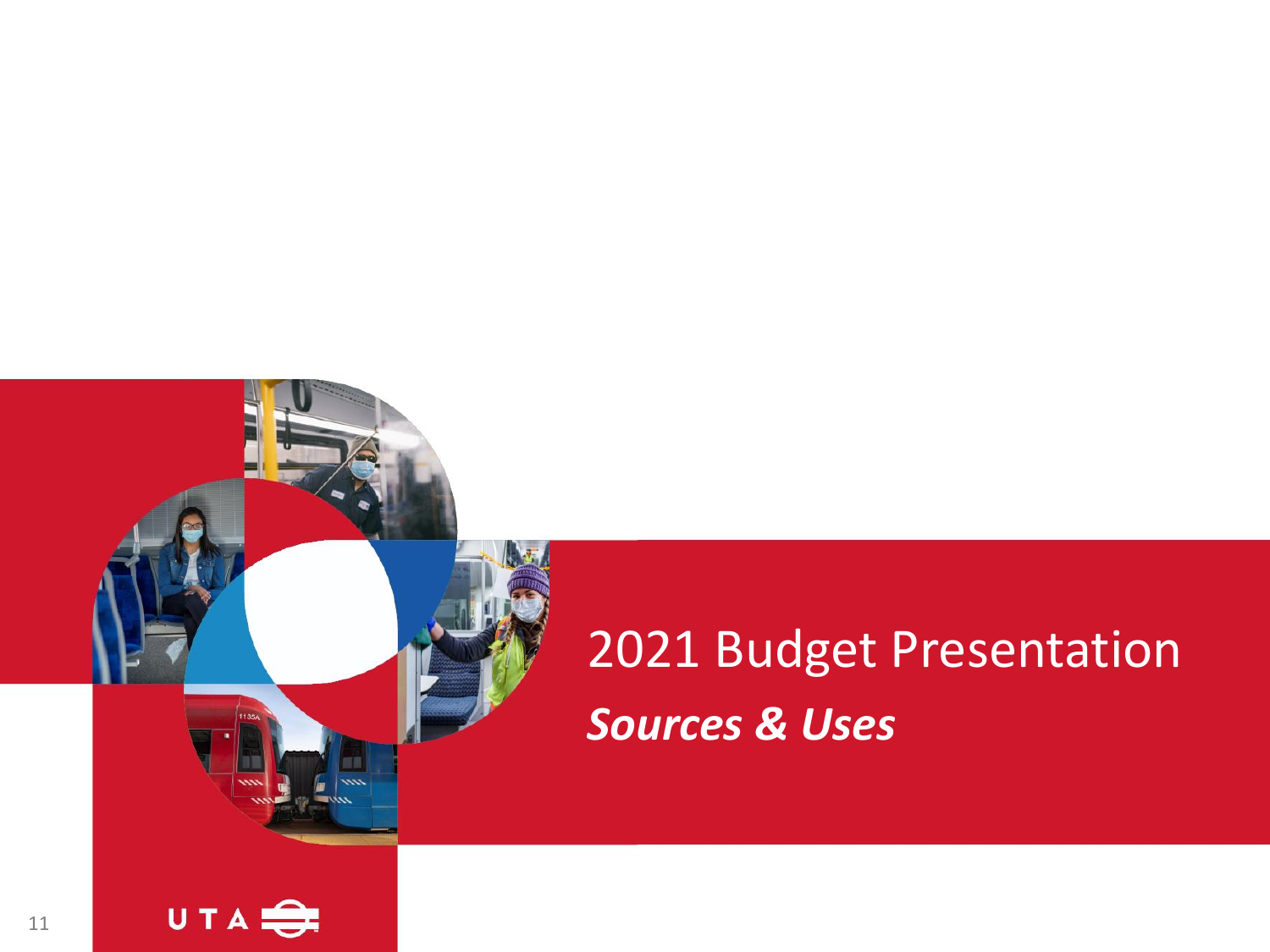# 2021 Budget Presentation *Sources & Uses*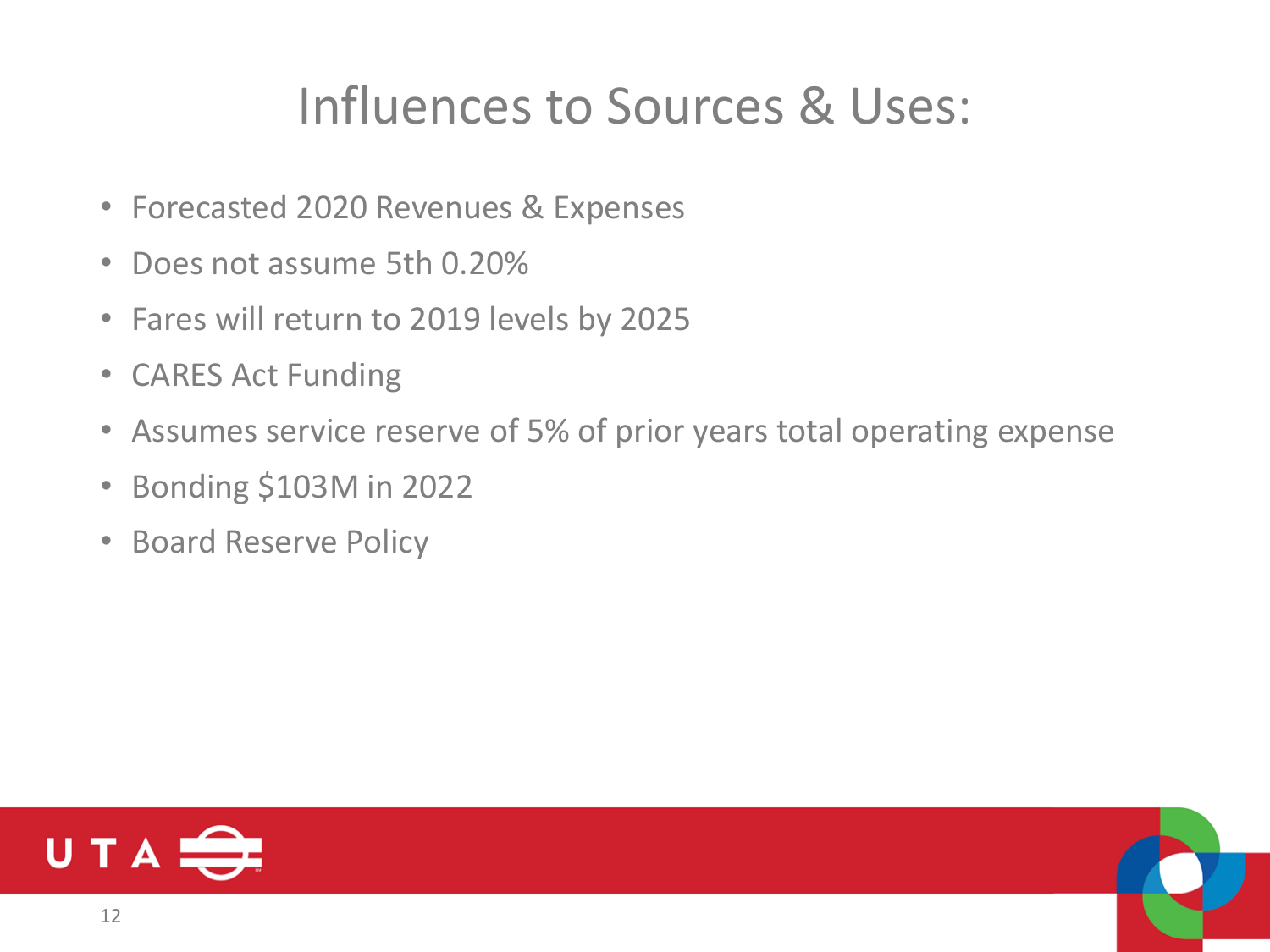#### Influences to Sources & Uses:

- Forecasted 2020 Revenues & Expenses
- Does not assume 5th 0.20%
- Fares will return to 2019 levels by 2025
- CARES Act Funding
- Assumes service reserve of 5% of prior years total operating expense
- Bonding \$103M in 2022
- Board Reserve Policy

![](_page_11_Picture_8.jpeg)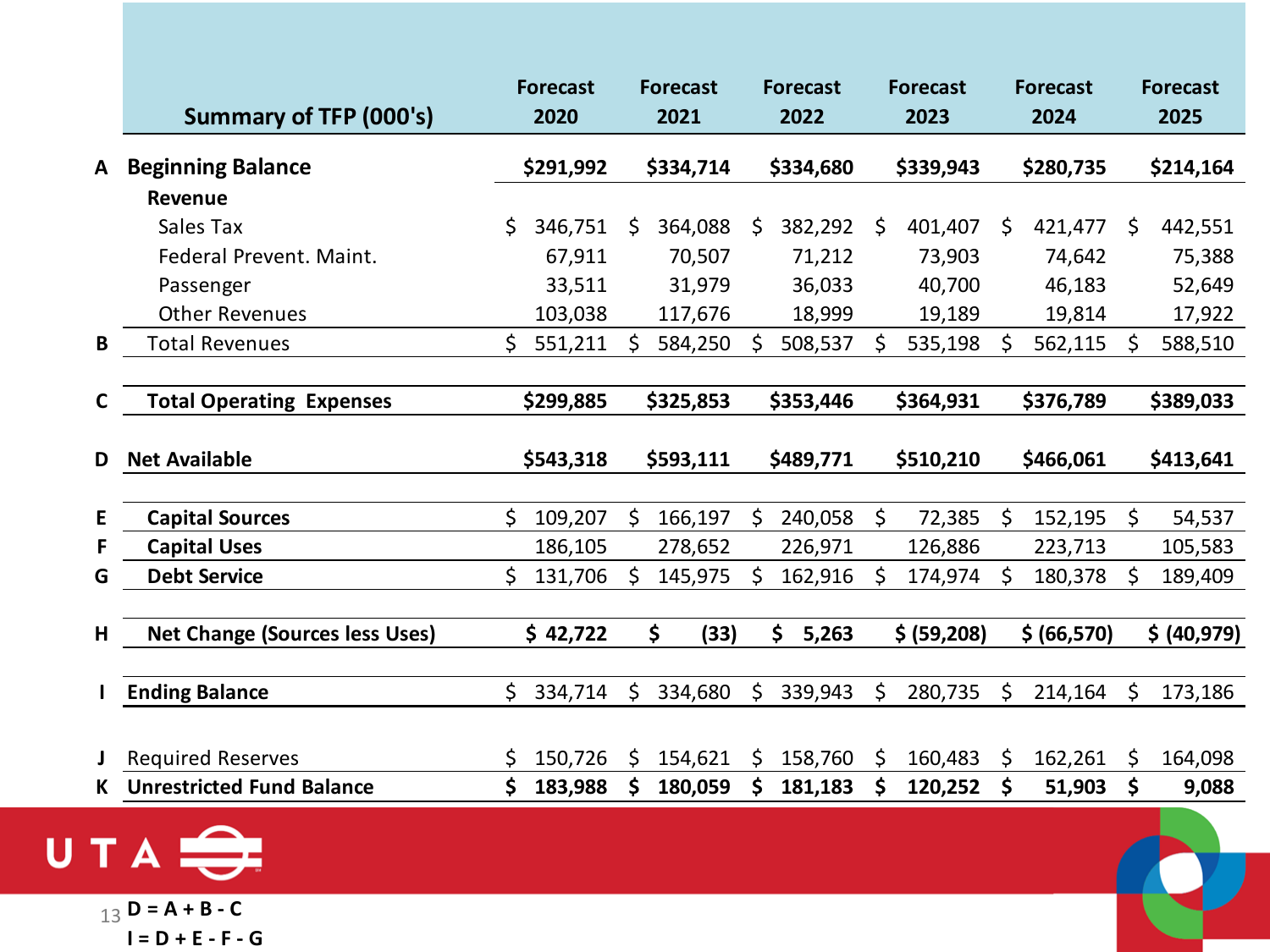|    | <b>Summary of TFP (000's)</b>         | <b>Forecast</b><br>2020 |    | <b>Forecast</b><br>2021 |    | <b>Forecast</b><br>2022 |    | <b>Forecast</b><br>2023 | <b>Forecast</b><br>2024 | <b>Forecast</b><br>2025 |
|----|---------------------------------------|-------------------------|----|-------------------------|----|-------------------------|----|-------------------------|-------------------------|-------------------------|
| A  | <b>Beginning Balance</b>              | \$291,992               |    | \$334,714               |    | \$334,680               |    | \$339,943               | \$280,735               | \$214,164               |
|    | <b>Revenue</b>                        |                         |    |                         |    |                         |    |                         |                         |                         |
|    | Sales Tax                             | \$<br>346,751           | \$ | 364,088                 | S. | 382,292                 | S. | 401,407                 | \$<br>421,477           | \$<br>442,551           |
|    | Federal Prevent. Maint.               | 67,911                  |    | 70,507                  |    | 71,212                  |    | 73,903                  | 74,642                  | 75,388                  |
|    | Passenger                             | 33,511                  |    | 31,979                  |    | 36,033                  |    | 40,700                  | 46,183                  | 52,649                  |
|    | <b>Other Revenues</b>                 | 103,038                 |    | 117,676                 |    | 18,999                  |    | 19,189                  | 19,814                  | 17,922                  |
| B  | <b>Total Revenues</b>                 | \$<br>551,211           | S  | 584,250                 | \$ | 508,537                 | \$ | 535,198                 | \$<br>562,115           | \$<br>588,510           |
|    |                                       |                         |    |                         |    |                         |    |                         |                         |                         |
| C  | <b>Total Operating Expenses</b>       | \$299,885               |    | \$325,853               |    | \$353,446               |    | \$364,931               | \$376,789               | \$389,033               |
| D  | <b>Net Available</b>                  | \$543,318               |    | \$593,111               |    | \$489,771               |    | \$510,210               | \$466,061               | \$413,641               |
|    |                                       |                         |    |                         |    |                         |    |                         |                         |                         |
| E. | <b>Capital Sources</b>                | \$<br>109,207           | \$ | 166,197                 | Ŝ. | 240,058                 | Ŝ. | 72,385                  | \$<br>152,195           | \$<br>54,537            |
|    | <b>Capital Uses</b>                   | 186,105                 |    | 278,652                 |    | 226,971                 |    | 126,886                 | 223,713                 | 105,583                 |
| G  | <b>Debt Service</b>                   | \$<br>131,706           | \$ | 145,975                 | \$ | 162,916                 | S  | 174,974                 | \$<br>180,378           | \$<br>189,409           |
|    |                                       |                         |    |                         |    |                         |    |                         |                         |                         |
| H  | <b>Net Change (Sources less Uses)</b> | \$42,722                |    | \$<br>(33)              |    | \$<br>5,263             |    | \$ (59,208)             | \$ (66,570)             | \$ (40,979)             |
|    |                                       |                         |    |                         |    |                         |    |                         |                         |                         |
|    | <b>Ending Balance</b>                 | \$<br>334,714           | \$ | 334,680                 | \$ | 339,943                 | \$ | 280,735                 | \$<br>214,164           | \$<br>173,186           |
|    |                                       |                         |    |                         |    |                         |    |                         |                         |                         |
|    | <b>Required Reserves</b>              | \$<br>150,726           | Ŝ. | 154,621                 | S. | 158,760                 | Ŝ. | 160,483                 | \$<br>162,261           | \$<br>164,098           |
| K  | <b>Unrestricted Fund Balance</b>      | \$<br>183,988           | \$ | 180,059                 | \$ | 181,183                 | \$ | 120,252                 | \$<br>51,903            | \$<br>9,088             |
|    |                                       |                         |    |                         |    |                         |    |                         |                         |                         |

UTA

13 **D = A + B - C I = D + E - F - G**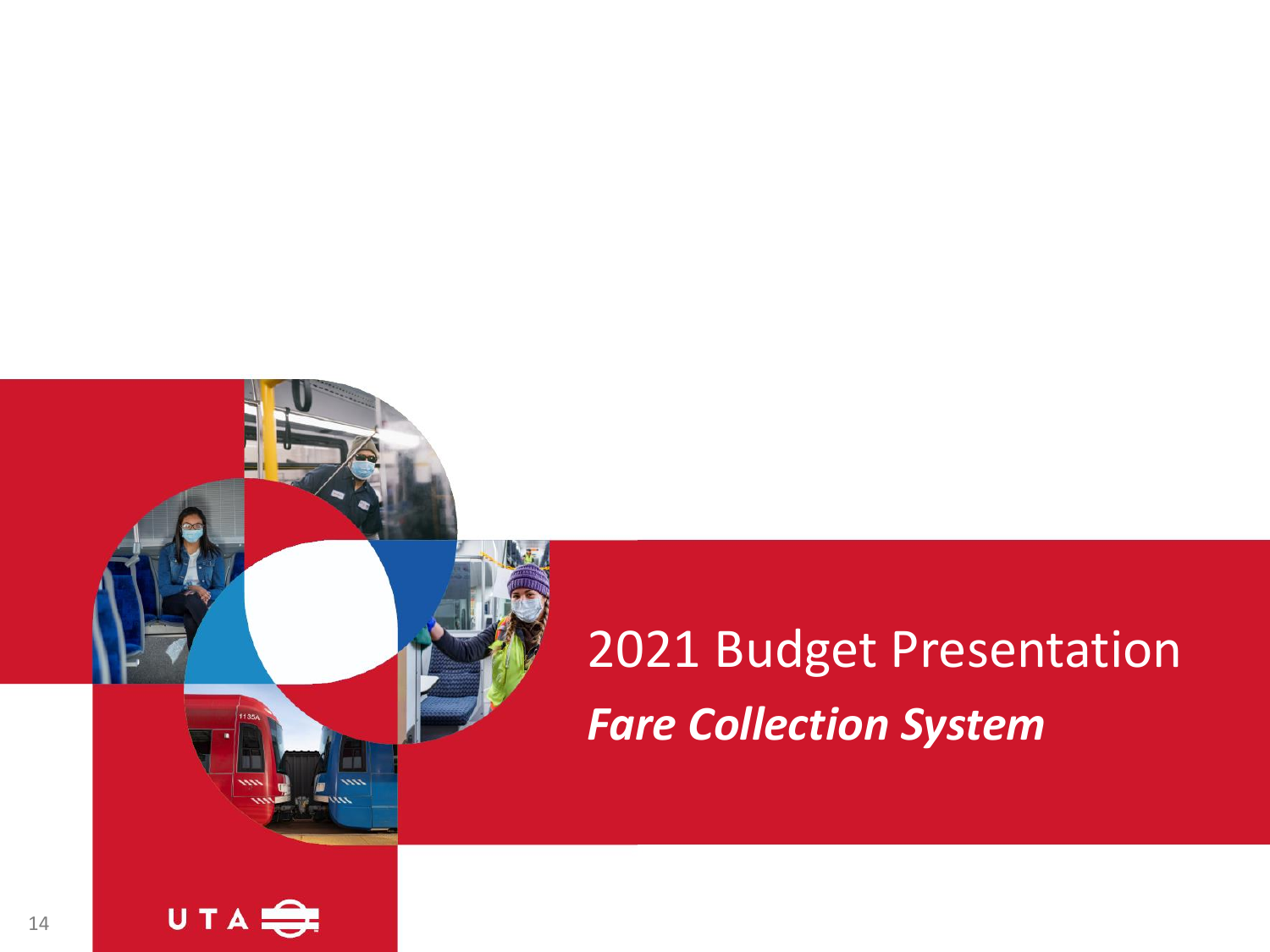# 2021 Budget Presentation *Fare Collection System*

![](_page_13_Picture_1.jpeg)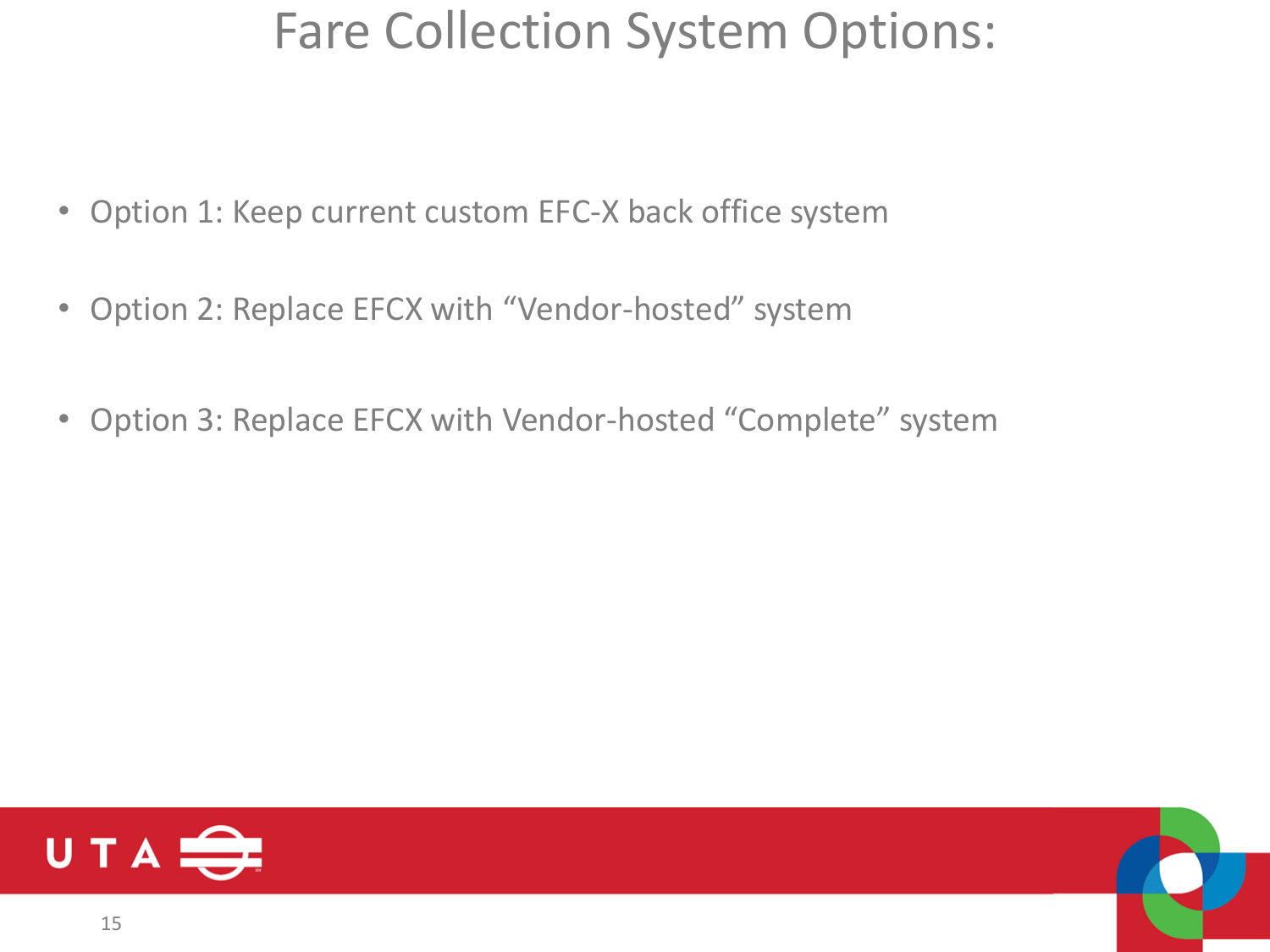#### Fare Collection System Options:

- Option 1: Keep current custom EFC-X back office system
- Option 2: Replace EFCX with "Vendor-hosted" system
- Option 3: Replace EFCX with Vendor-hosted "Complete" system

![](_page_14_Picture_4.jpeg)

![](_page_14_Picture_5.jpeg)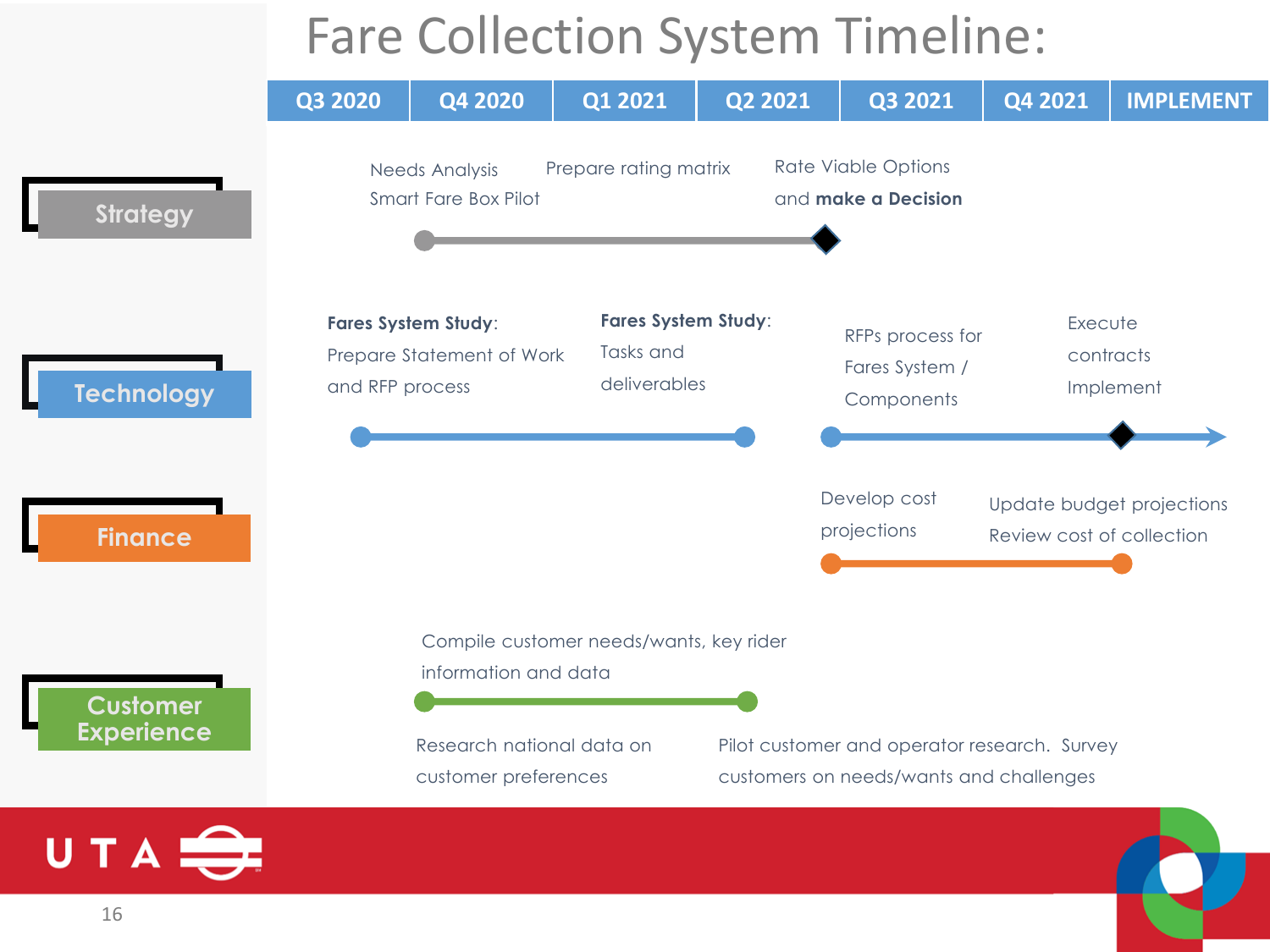#### Fare Collection System Timeline:

![](_page_15_Figure_1.jpeg)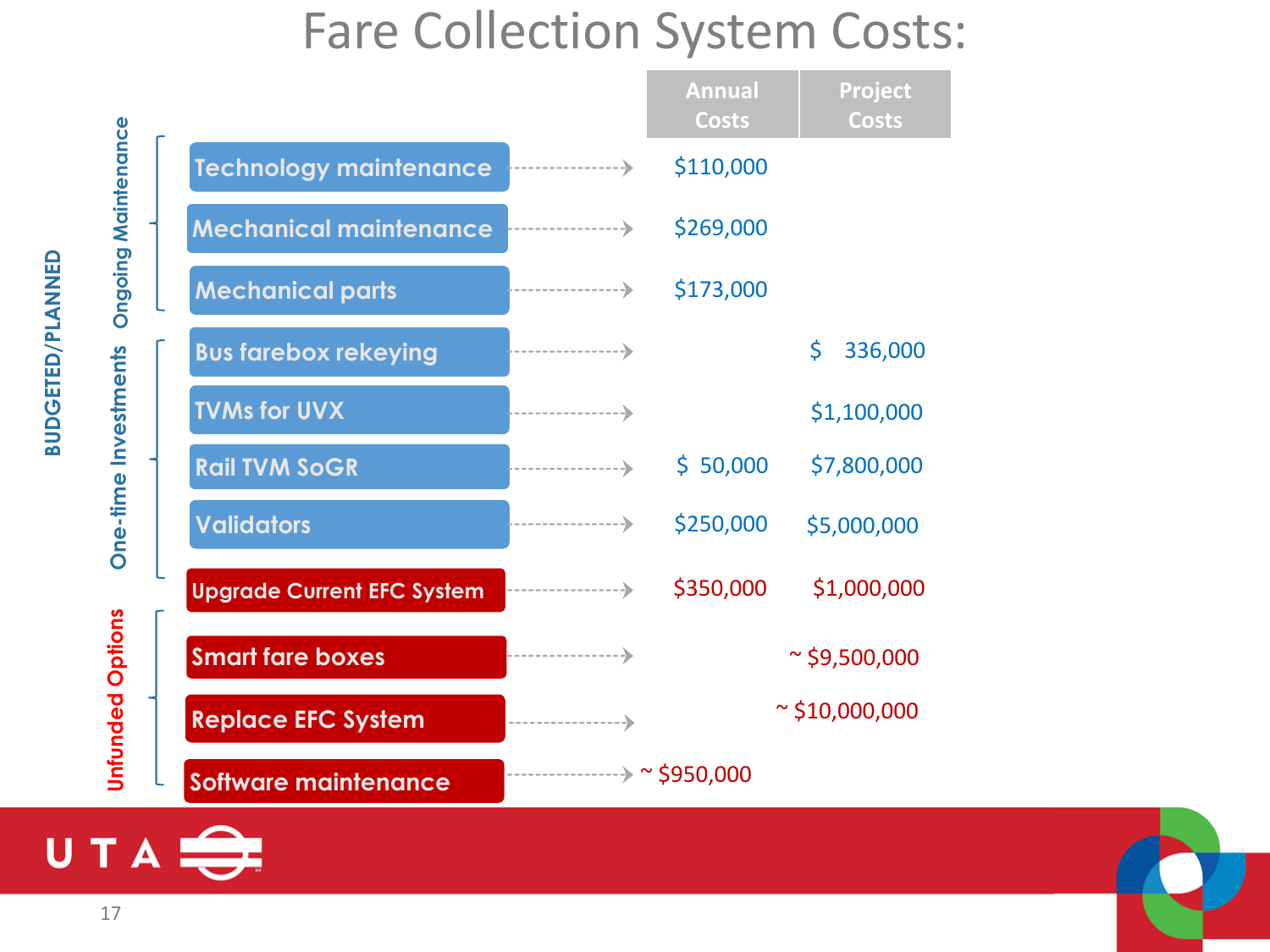#### Fare Collection System Costs:

|                            |                                   | <b>Annual</b><br><b>Costs</b>    | Project<br><b>Costs</b> |  |  |  |  |  |
|----------------------------|-----------------------------------|----------------------------------|-------------------------|--|--|--|--|--|
|                            | Technology maintenance            | \$110,000                        |                         |  |  |  |  |  |
|                            | <b>Mechanical maintenance</b>     | \$269,000                        |                         |  |  |  |  |  |
| <b>Ongoing Maintenance</b> | <b>Mechanical parts</b>           | \$173,000                        |                         |  |  |  |  |  |
|                            | <b>Bus farebox rekeying</b>       |                                  | \$<br>336,000           |  |  |  |  |  |
| One-time Investments       | <b>TVMs for UVX</b>               |                                  | \$1,100,000             |  |  |  |  |  |
|                            | <b>Rail TVM SoGR</b>              | \$50,000                         | \$7,800,000             |  |  |  |  |  |
|                            | <b>Validators</b>                 | \$250,000                        | \$5,000,000             |  |  |  |  |  |
|                            | <b>Upgrade Current EFC System</b> | \$350,000                        | \$1,000,000             |  |  |  |  |  |
|                            | <b>Smart fare boxes</b>           |                                  | $\approx$ \$9,500,000   |  |  |  |  |  |
| <b>Unfunded Options</b>    | <b>Replace EFC System</b>         | $\sim$ \$10,000,000              |                         |  |  |  |  |  |
|                            | <b>Software maintenance</b>       | -------------------> ~ \$950,000 |                         |  |  |  |  |  |

## UTA<sub>S</sub>

**BUDGETED/PLANNED BUDGETED/PLANNED** 

> **Unfunded Options Unfunded Options**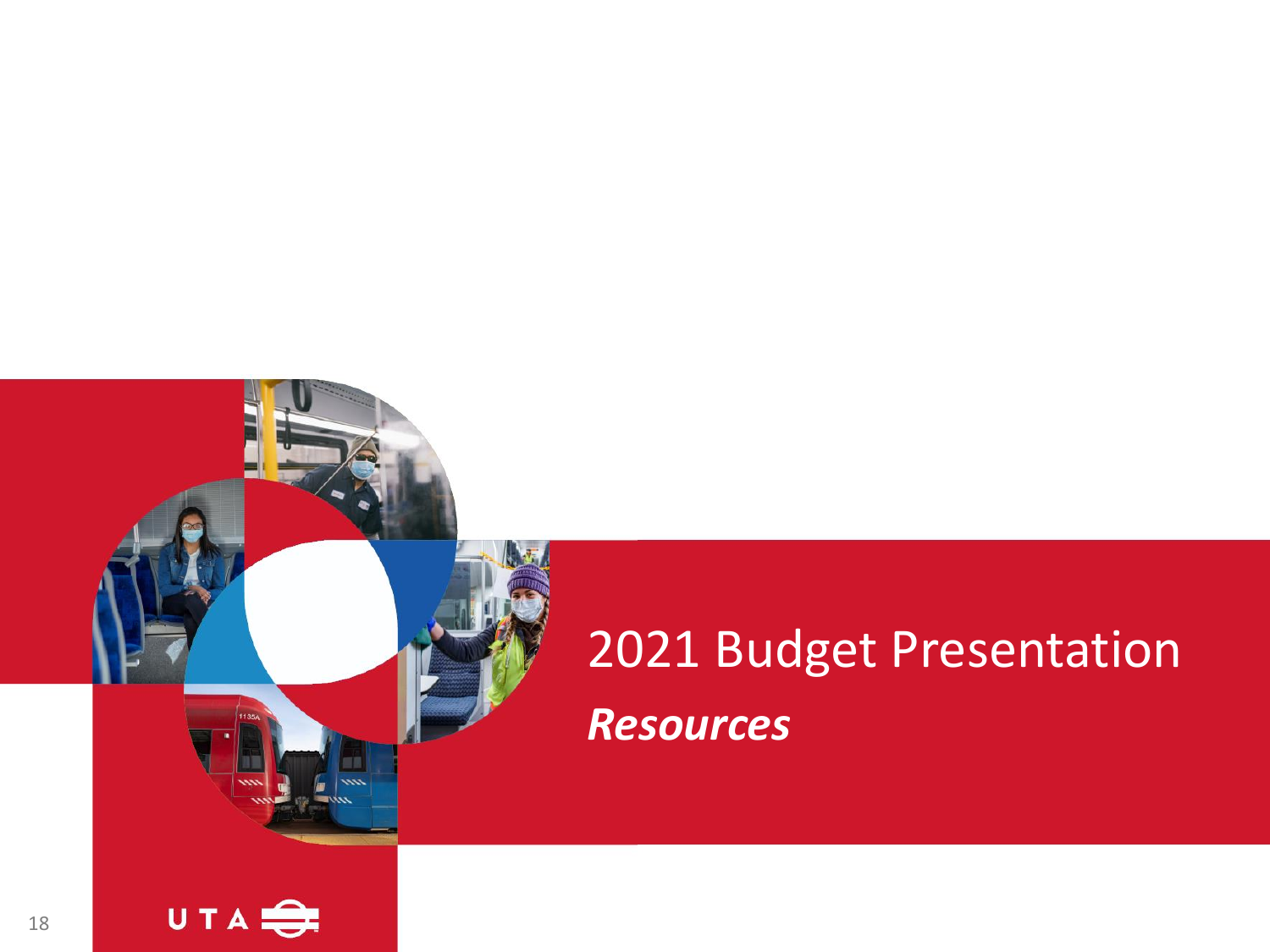## 2021 Budget Presentation *Resources*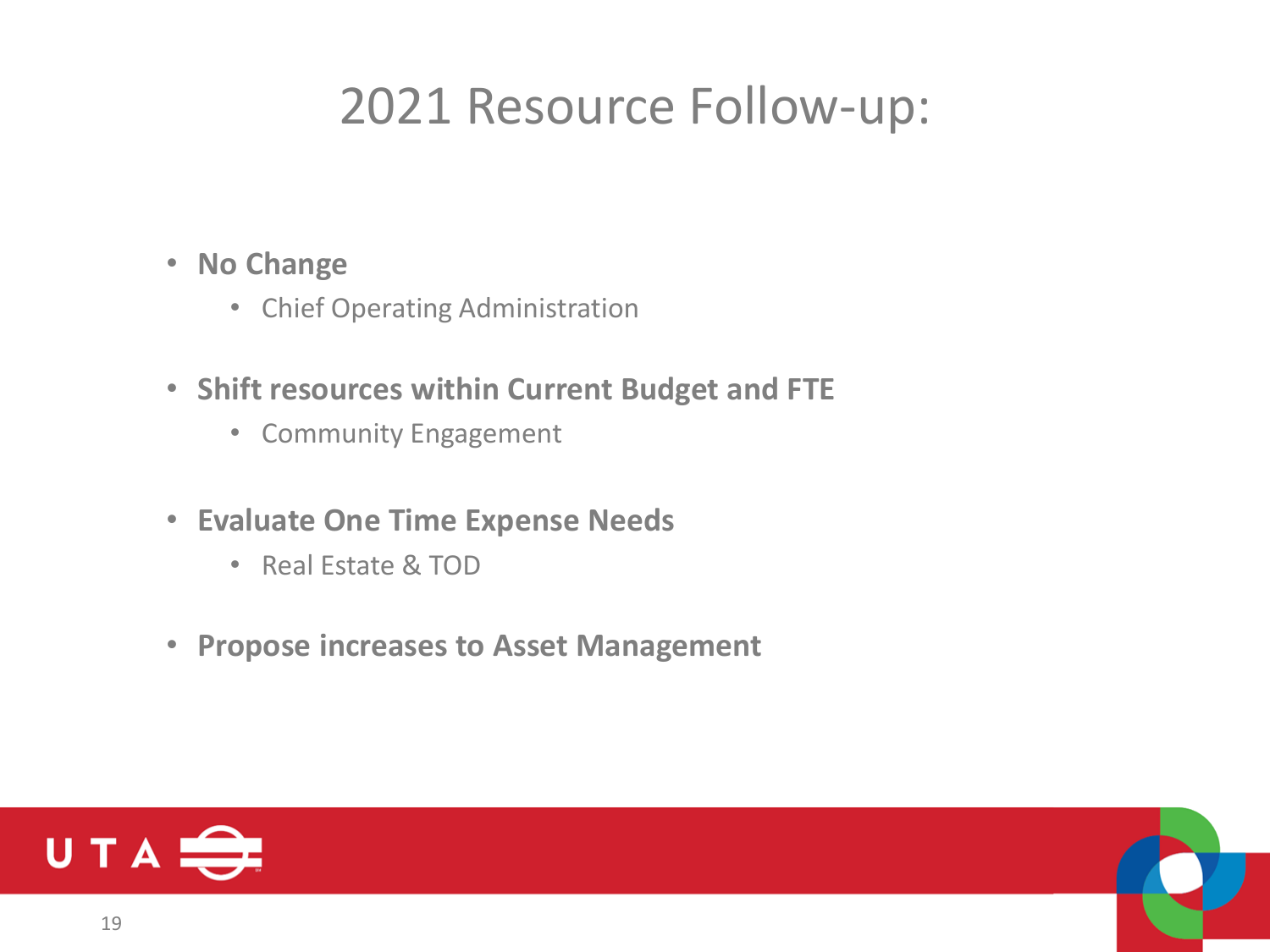#### 2021 Resource Follow-up:

- **No Change**
	- Chief Operating Administration
- **Shift resources within Current Budget and FTE**
	- Community Engagement
- **Evaluate One Time Expense Needs**
	- Real Estate & TOD
- **Propose increases to Asset Management**

![](_page_18_Picture_8.jpeg)

![](_page_18_Picture_9.jpeg)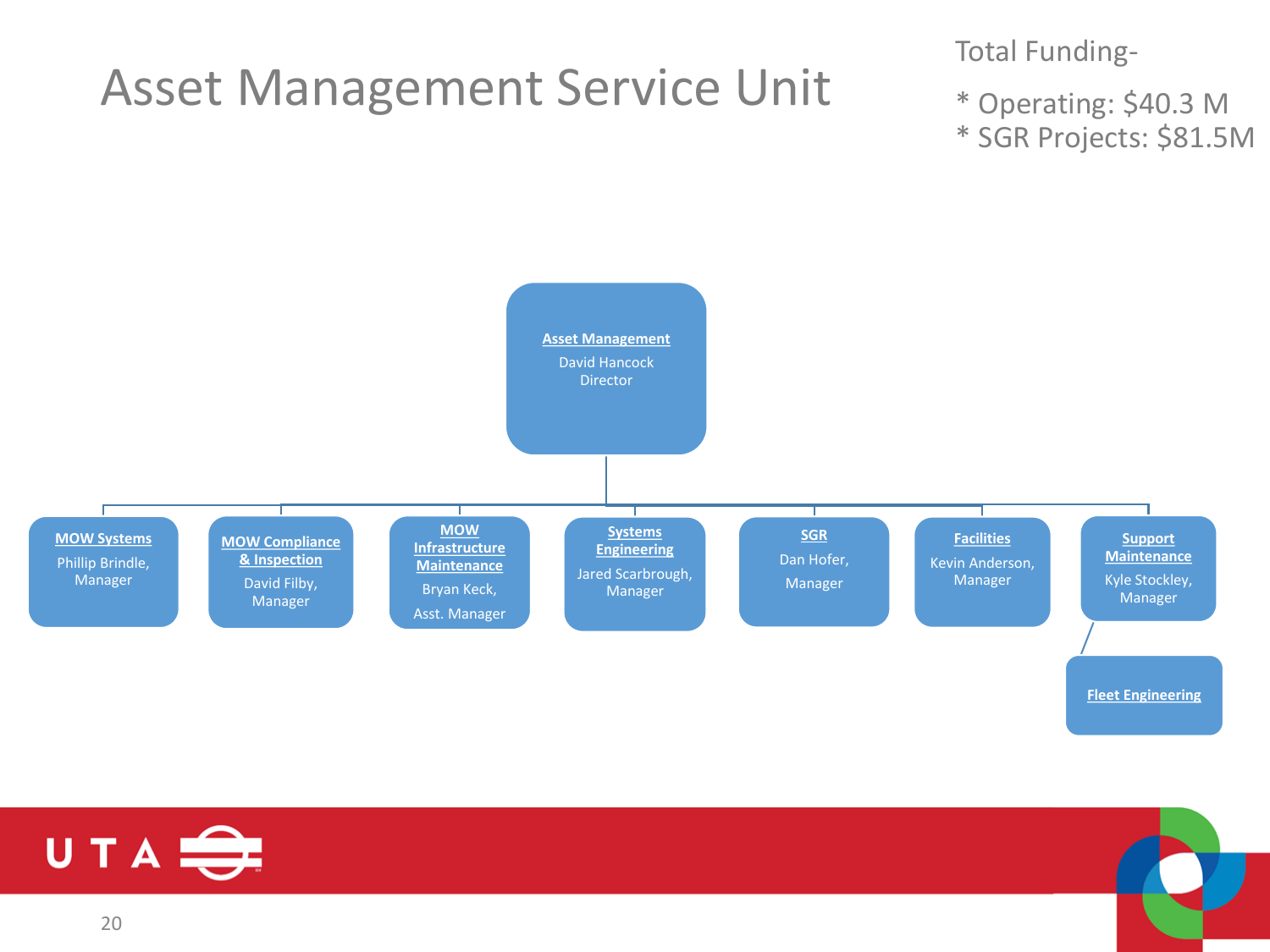#### Asset Management Service Unit

Total Funding-

\* Operating: \$40.3 M \* SGR Projects: \$81.5M

![](_page_19_Figure_3.jpeg)

![](_page_19_Picture_4.jpeg)

![](_page_19_Picture_5.jpeg)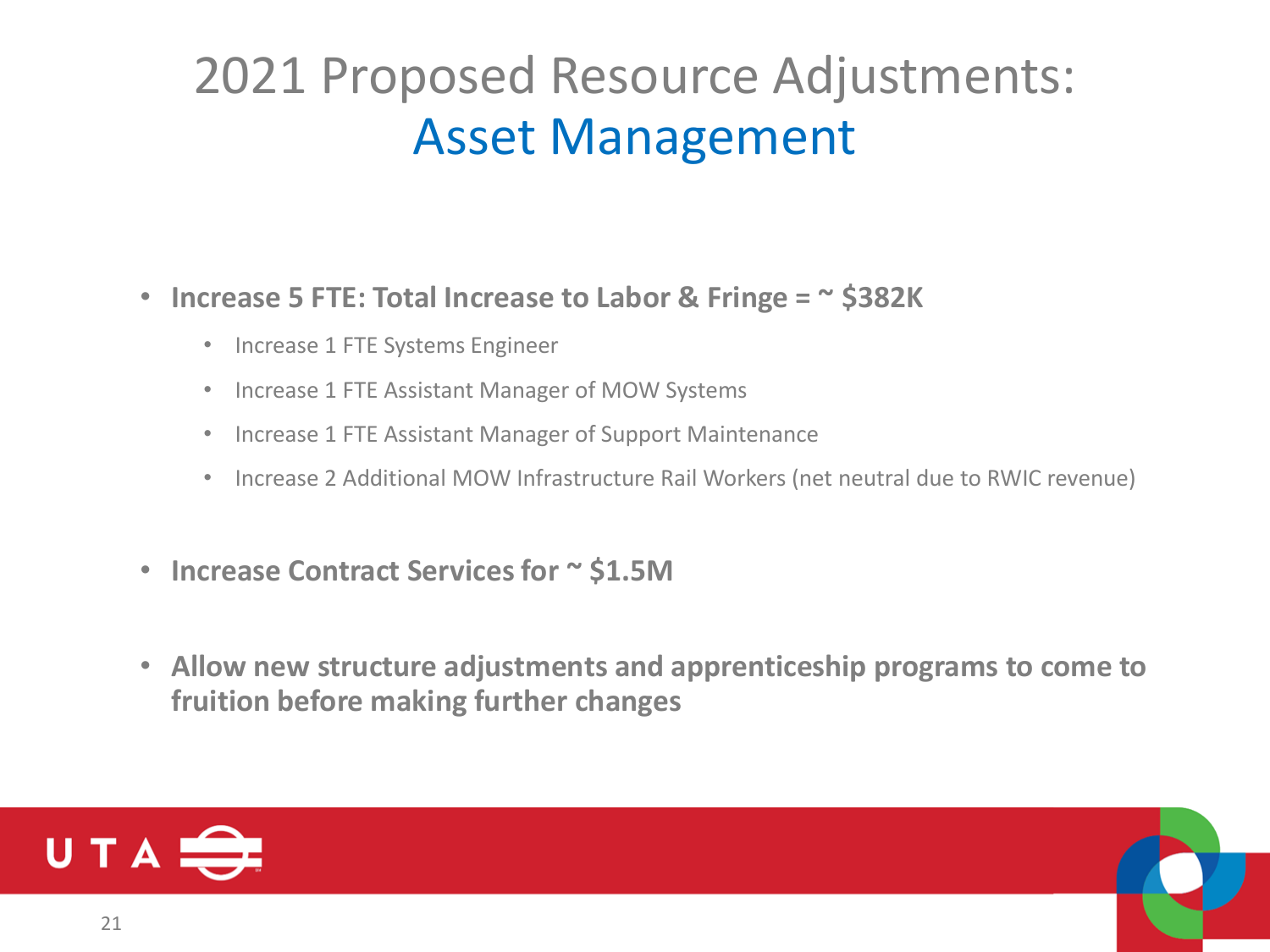#### 2021 Proposed Resource Adjustments: Asset Management

#### • **Increase 5 FTE: Total Increase to Labor & Fringe = ~ \$382K**

- Increase 1 FTE Systems Engineer
- Increase 1 FTE Assistant Manager of MOW Systems
- Increase 1 FTE Assistant Manager of Support Maintenance
- Increase 2 Additional MOW Infrastructure Rail Workers (net neutral due to RWIC revenue)
- **Increase Contract Services for ~ \$1.5M**
- **Allow new structure adjustments and apprenticeship programs to come to fruition before making further changes**

![](_page_20_Picture_8.jpeg)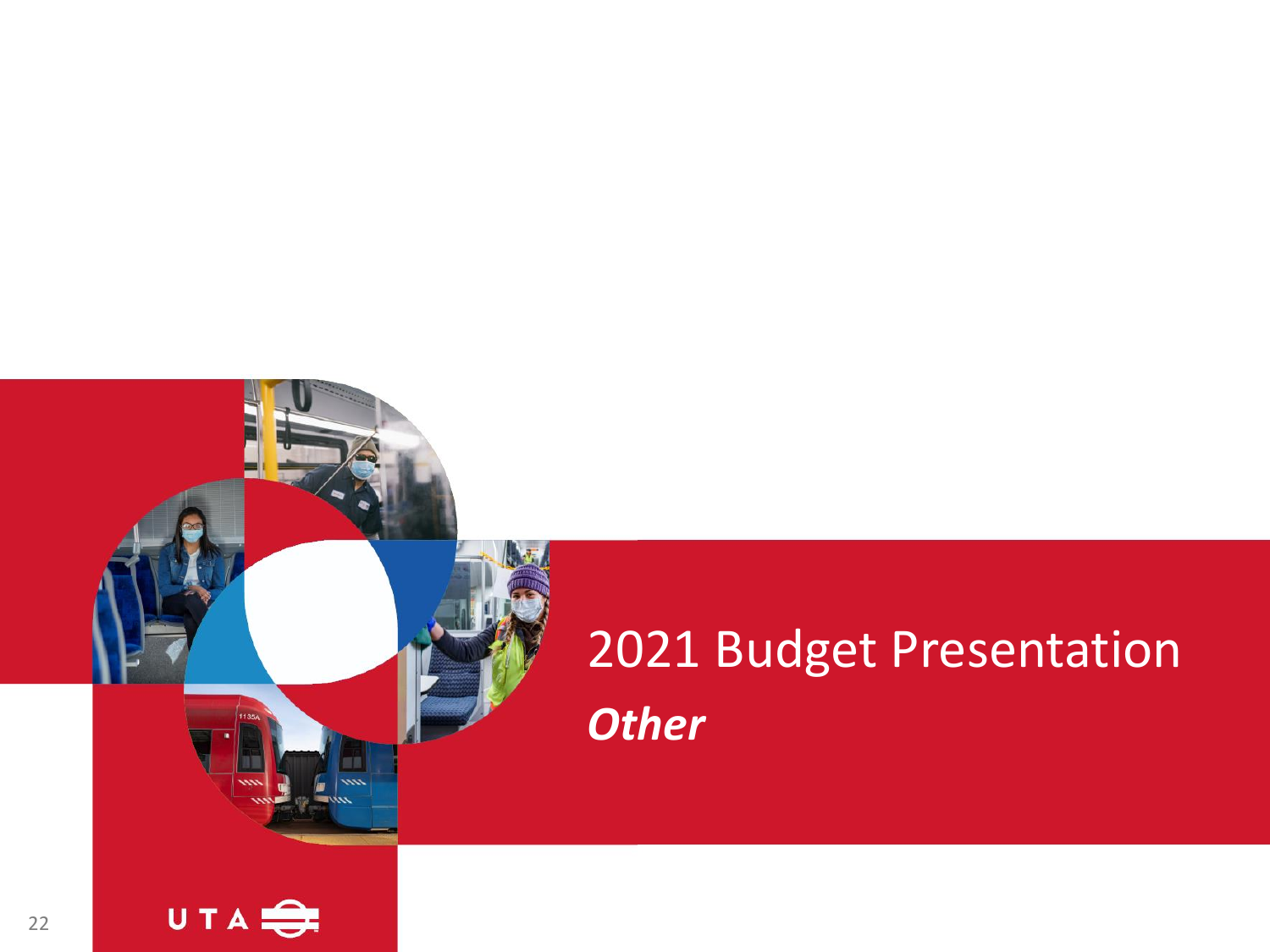## 2021 Budget Presentation *Other*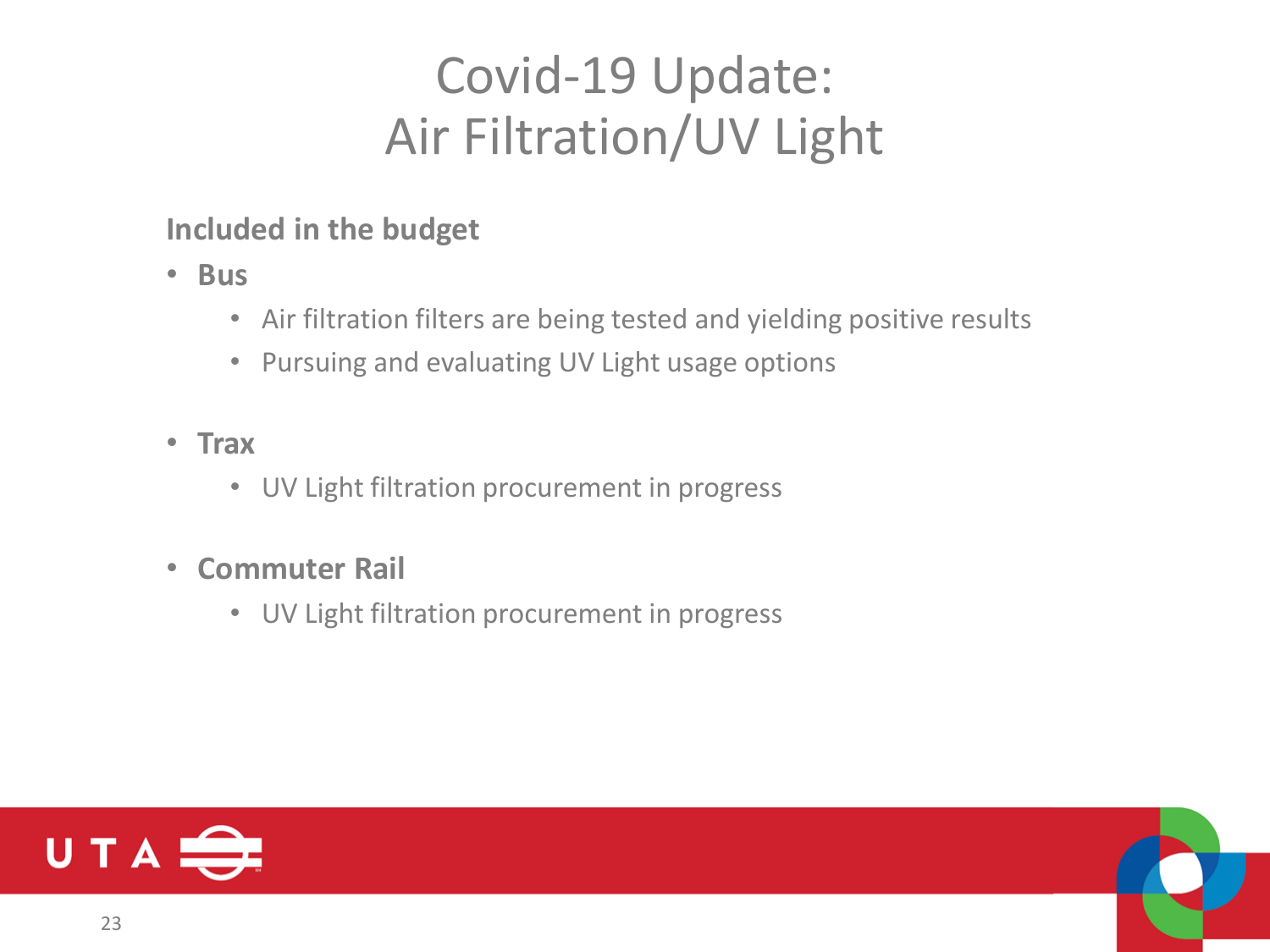## Covid-19 Update: Air Filtration/UV Light

**Included in the budget**

- **Bus**
	- Air filtration filters are being tested and yielding positive results
	- Pursuing and evaluating UV Light usage options
- **Trax**
	- UV Light filtration procurement in progress
- **Commuter Rail**
	- UV Light filtration procurement in progress

![](_page_22_Picture_9.jpeg)

![](_page_22_Picture_10.jpeg)